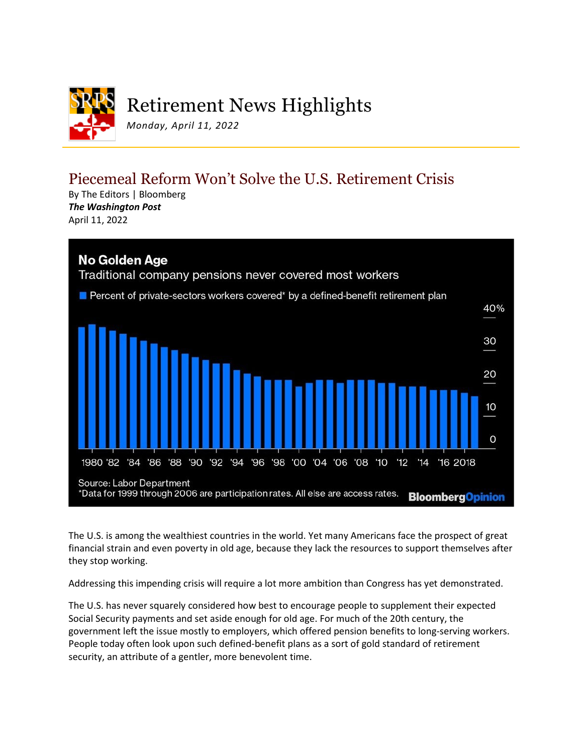

## Piecemeal Reform Won't Solve the U.S. Retirement Crisis

By The Editors | Bloomberg *The Washington Post* April 11, 2022



The U.S. is among the wealthiest countries in the world. Yet many Americans face the prospect of great financial strain and even poverty in old age, because they lack the resources to support themselves after they stop working.

Addressing this impending crisis will require a lot more ambition than Congress has yet demonstrated.

The U.S. has never squarely considered how best to encourage people to supplement their expected Social Security payments and set aside enough for old age. For much of the 20th century, the government left the issue mostly to employers, which offered pension benefits to long-serving workers. People today often look upon such defined-benefit plans as a sort of gold standard of retirement security, an attribute of a gentler, more benevolent time.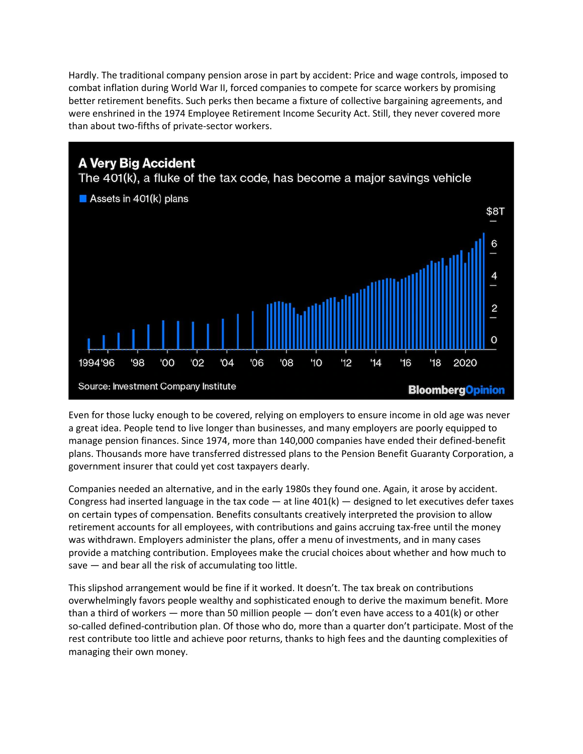Hardly. The traditional company pension arose in part by accident: Price and wage controls, imposed to combat inflation during World War II, forced companies to compete for scarce workers by promising better retirement benefits. Such perks then became a fixture of collective bargaining agreements, and were enshrined in the 1974 Employee Retirement Income Security Act. Still, they never covered more than about two-fifths of private-sector workers.



Even for those lucky enough to be covered, relying on employers to ensure income in old age was never a great idea. People tend to live longer than businesses, and many employers are poorly equipped to manage pension finances. Since 1974, more than 140,000 companies have ended their defined-benefit plans. Thousands more have transferred distressed plans to the Pension Benefit Guaranty Corporation, a government insurer that could yet cost taxpayers dearly.

Companies needed an alternative, and in the early 1980s they found one. Again, it arose by accident. Congress had inserted language in the tax code  $-$  at line 401(k)  $-$  designed to let executives defer taxes on certain types of compensation. Benefits consultants creatively interpreted the provision to allow retirement accounts for all employees, with contributions and gains accruing tax-free until the money was withdrawn. Employers administer the plans, offer a menu of investments, and in many cases provide a matching contribution. Employees make the crucial choices about whether and how much to save — and bear all the risk of accumulating too little.

This slipshod arrangement would be fine if it worked. It doesn't. The tax break on contributions overwhelmingly favors people wealthy and sophisticated enough to derive the maximum benefit. More than a third of workers — more than 50 million people — don't even have access to a 401(k) or other so-called defined-contribution plan. Of those who do, more than a quarter don't participate. Most of the rest contribute too little and achieve poor returns, thanks to high fees and the daunting complexities of managing their own money.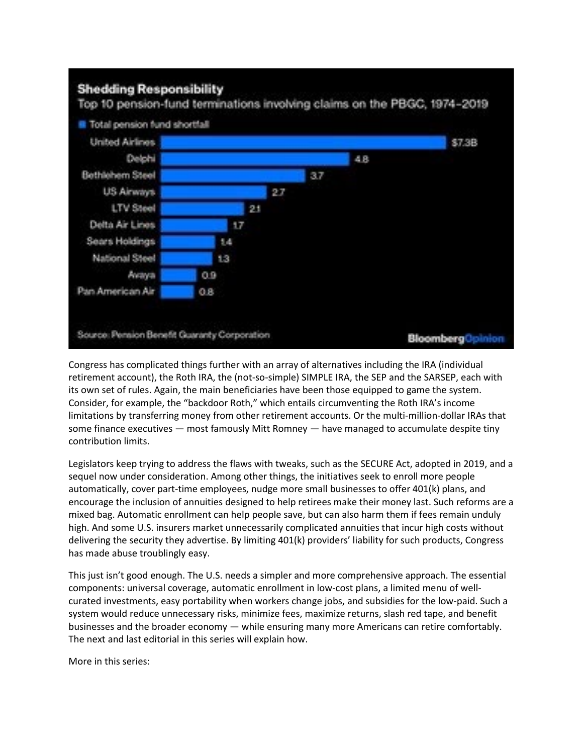

Congress has complicated things further with an array of alternatives including the IRA (individual retirement account), the Roth IRA, the (not-so-simple) SIMPLE IRA, the SEP and the SARSEP, each with its own set of rules. Again, the main beneficiaries have been those equipped to game the system. Consider, for example, the "backdoor Roth," which entails circumventing the Roth IRA's income limitations by transferring money from other retirement accounts. Or the multi-million-dollar IRAs that some finance executives — most famously Mitt Romney — have managed to accumulate despite tiny contribution limits.

Legislators keep trying to address the flaws with tweaks, such as the SECURE Act, adopted in 2019, and a sequel now under consideration. Among other things, the initiatives seek to enroll more people automatically, cover part-time employees, nudge more small businesses to offer 401(k) plans, and encourage the inclusion of annuities designed to help retirees make their money last. Such reforms are a mixed bag. Automatic enrollment can help people save, but can also harm them if fees remain unduly high. And some U.S. insurers market unnecessarily complicated annuities that incur high costs without delivering the security they advertise. By limiting 401(k) providers' liability for such products, Congress has made abuse troublingly easy.

This just isn't good enough. The U.S. needs a simpler and more comprehensive approach. The essential components: universal coverage, automatic enrollment in low-cost plans, a limited menu of wellcurated investments, easy portability when workers change jobs, and subsidies for the low-paid. Such a system would reduce unnecessary risks, minimize fees, maximize returns, slash red tape, and benefit businesses and the broader economy — while ensuring many more Americans can retire comfortably. The next and last editorial in this series will explain how.

More in this series: